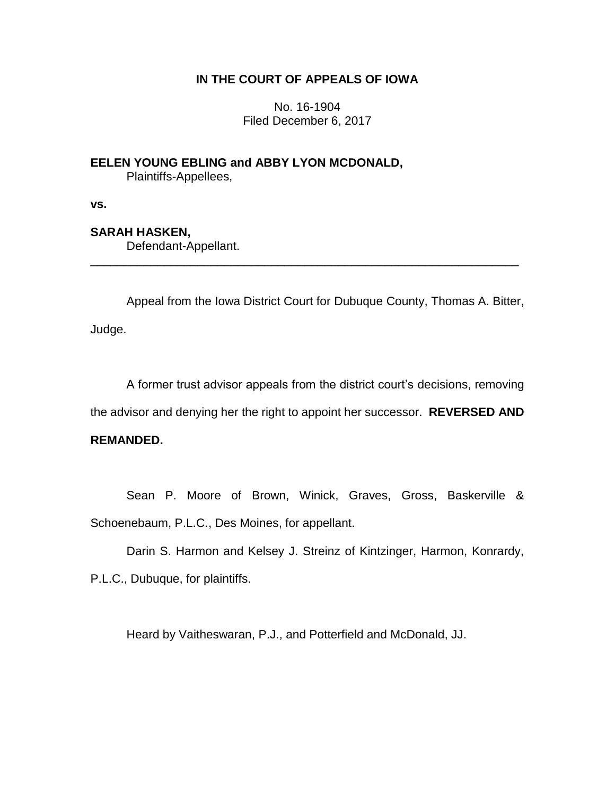### **IN THE COURT OF APPEALS OF IOWA**

No. 16-1904 Filed December 6, 2017

**EELEN YOUNG EBLING and ABBY LYON MCDONALD,** Plaintiffs-Appellees,

**vs.**

## **SARAH HASKEN,**

Defendant-Appellant.

Appeal from the Iowa District Court for Dubuque County, Thomas A. Bitter, Judge.

\_\_\_\_\_\_\_\_\_\_\_\_\_\_\_\_\_\_\_\_\_\_\_\_\_\_\_\_\_\_\_\_\_\_\_\_\_\_\_\_\_\_\_\_\_\_\_\_\_\_\_\_\_\_\_\_\_\_\_\_\_\_\_\_

A former trust advisor appeals from the district court's decisions, removing the advisor and denying her the right to appoint her successor. **REVERSED AND** 

# **REMANDED.**

Sean P. Moore of Brown, Winick, Graves, Gross, Baskerville & Schoenebaum, P.L.C., Des Moines, for appellant.

Darin S. Harmon and Kelsey J. Streinz of Kintzinger, Harmon, Konrardy, P.L.C., Dubuque, for plaintiffs.

Heard by Vaitheswaran, P.J., and Potterfield and McDonald, JJ.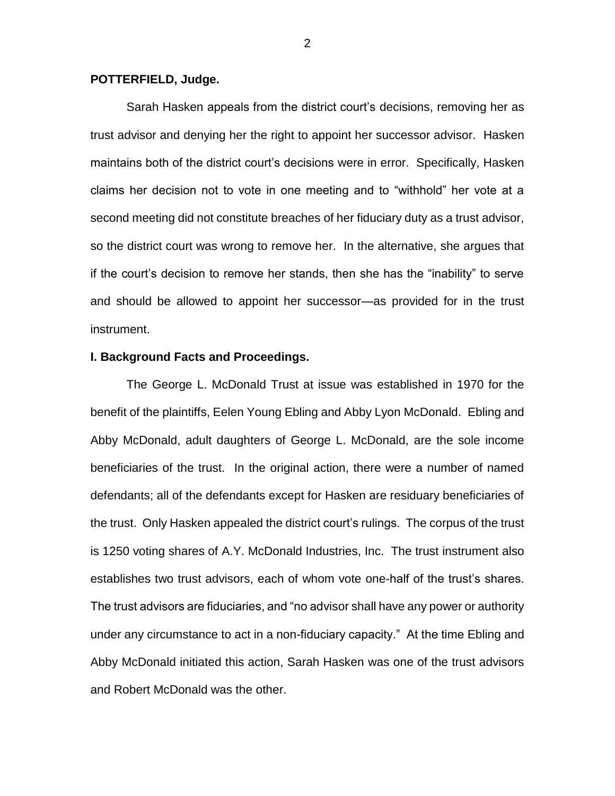### **POTTERFIELD, Judge.**

Sarah Hasken appeals from the district court's decisions, removing her as trust advisor and denying her the right to appoint her successor advisor. Hasken maintains both of the district court's decisions were in error. Specifically, Hasken claims her decision not to vote in one meeting and to "withhold" her vote at a second meeting did not constitute breaches of her fiduciary duty as a trust advisor, so the district court was wrong to remove her. In the alternative, she argues that if the court's decision to remove her stands, then she has the "inability" to serve and should be allowed to appoint her successor—as provided for in the trust instrument.

#### **I. Background Facts and Proceedings.**

The George L. McDonald Trust at issue was established in 1970 for the benefit of the plaintiffs, Eelen Young Ebling and Abby Lyon McDonald. Ebling and Abby McDonald, adult daughters of George L. McDonald, are the sole income beneficiaries of the trust. In the original action, there were a number of named defendants; all of the defendants except for Hasken are residuary beneficiaries of the trust. Only Hasken appealed the district court's rulings. The corpus of the trust is 1250 voting shares of A.Y. McDonald Industries, Inc. The trust instrument also establishes two trust advisors, each of whom vote one-half of the trust's shares. The trust advisors are fiduciaries, and "no advisor shall have any power or authority under any circumstance to act in a non-fiduciary capacity." At the time Ebling and Abby McDonald initiated this action, Sarah Hasken was one of the trust advisors and Robert McDonald was the other.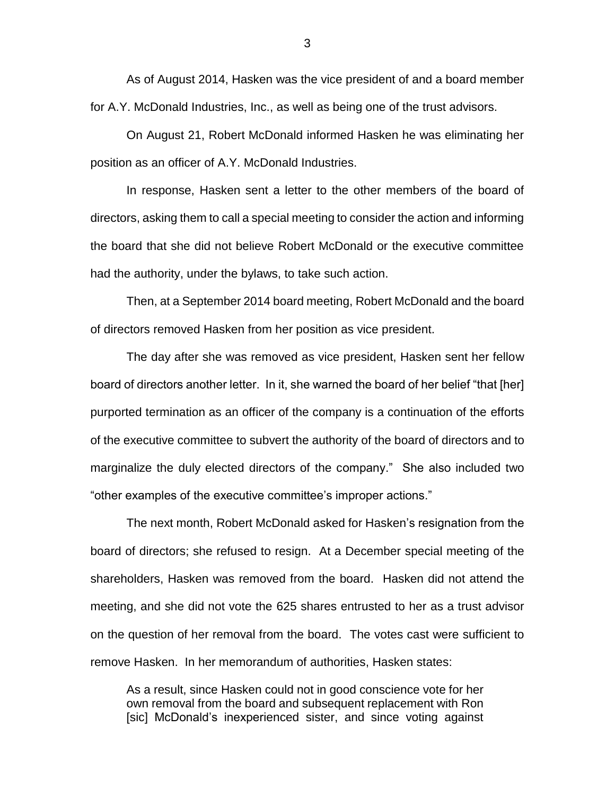As of August 2014, Hasken was the vice president of and a board member for A.Y. McDonald Industries, Inc., as well as being one of the trust advisors.

On August 21, Robert McDonald informed Hasken he was eliminating her position as an officer of A.Y. McDonald Industries.

In response, Hasken sent a letter to the other members of the board of directors, asking them to call a special meeting to consider the action and informing the board that she did not believe Robert McDonald or the executive committee had the authority, under the bylaws, to take such action.

Then, at a September 2014 board meeting, Robert McDonald and the board of directors removed Hasken from her position as vice president.

The day after she was removed as vice president, Hasken sent her fellow board of directors another letter. In it, she warned the board of her belief "that [her] purported termination as an officer of the company is a continuation of the efforts of the executive committee to subvert the authority of the board of directors and to marginalize the duly elected directors of the company." She also included two "other examples of the executive committee's improper actions."

The next month, Robert McDonald asked for Hasken's resignation from the board of directors; she refused to resign. At a December special meeting of the shareholders, Hasken was removed from the board. Hasken did not attend the meeting, and she did not vote the 625 shares entrusted to her as a trust advisor on the question of her removal from the board. The votes cast were sufficient to remove Hasken. In her memorandum of authorities, Hasken states:

As a result, since Hasken could not in good conscience vote for her own removal from the board and subsequent replacement with Ron [sic] McDonald's inexperienced sister, and since voting against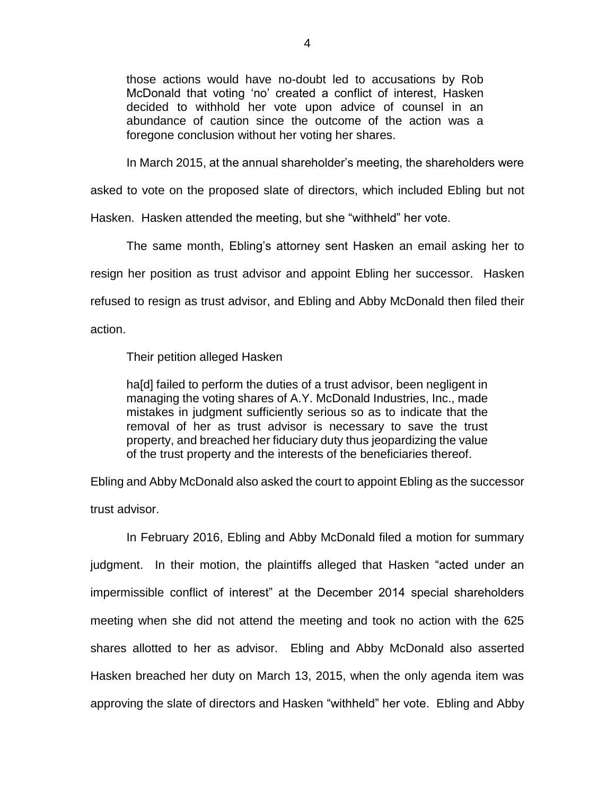those actions would have no-doubt led to accusations by Rob McDonald that voting 'no' created a conflict of interest, Hasken decided to withhold her vote upon advice of counsel in an abundance of caution since the outcome of the action was a foregone conclusion without her voting her shares.

In March 2015, at the annual shareholder's meeting, the shareholders were

asked to vote on the proposed slate of directors, which included Ebling but not

Hasken. Hasken attended the meeting, but she "withheld" her vote.

The same month, Ebling's attorney sent Hasken an email asking her to resign her position as trust advisor and appoint Ebling her successor. Hasken refused to resign as trust advisor, and Ebling and Abby McDonald then filed their action.

Their petition alleged Hasken

ha[d] failed to perform the duties of a trust advisor, been negligent in managing the voting shares of A.Y. McDonald Industries, Inc., made mistakes in judgment sufficiently serious so as to indicate that the removal of her as trust advisor is necessary to save the trust property, and breached her fiduciary duty thus jeopardizing the value of the trust property and the interests of the beneficiaries thereof.

Ebling and Abby McDonald also asked the court to appoint Ebling as the successor

trust advisor.

In February 2016, Ebling and Abby McDonald filed a motion for summary judgment. In their motion, the plaintiffs alleged that Hasken "acted under an impermissible conflict of interest" at the December 2014 special shareholders meeting when she did not attend the meeting and took no action with the 625 shares allotted to her as advisor. Ebling and Abby McDonald also asserted Hasken breached her duty on March 13, 2015, when the only agenda item was approving the slate of directors and Hasken "withheld" her vote. Ebling and Abby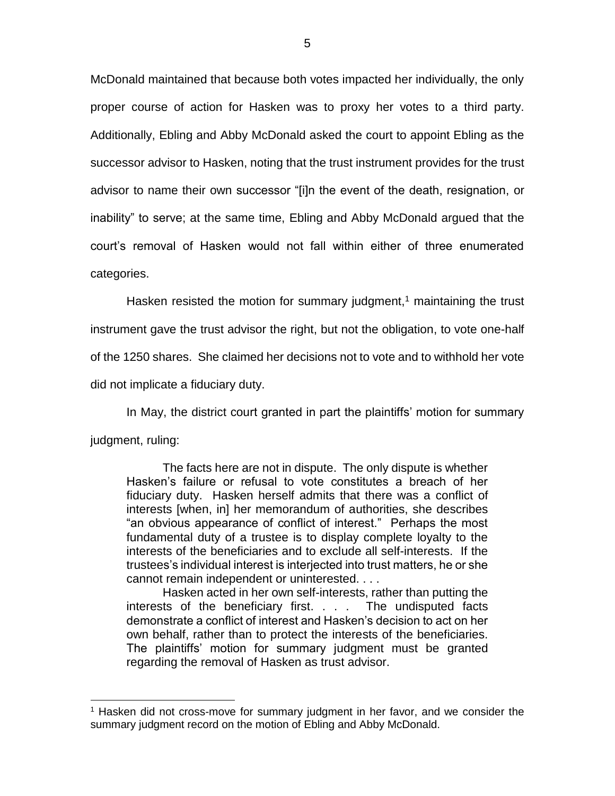McDonald maintained that because both votes impacted her individually, the only proper course of action for Hasken was to proxy her votes to a third party. Additionally, Ebling and Abby McDonald asked the court to appoint Ebling as the successor advisor to Hasken, noting that the trust instrument provides for the trust advisor to name their own successor "[i]n the event of the death, resignation, or inability" to serve; at the same time, Ebling and Abby McDonald argued that the court's removal of Hasken would not fall within either of three enumerated categories.

Hasken resisted the motion for summary judgment,<sup>1</sup> maintaining the trust instrument gave the trust advisor the right, but not the obligation, to vote one-half of the 1250 shares. She claimed her decisions not to vote and to withhold her vote did not implicate a fiduciary duty.

In May, the district court granted in part the plaintiffs' motion for summary judgment, ruling:

The facts here are not in dispute. The only dispute is whether Hasken's failure or refusal to vote constitutes a breach of her fiduciary duty. Hasken herself admits that there was a conflict of interests [when, in] her memorandum of authorities, she describes "an obvious appearance of conflict of interest." Perhaps the most fundamental duty of a trustee is to display complete loyalty to the interests of the beneficiaries and to exclude all self-interests. If the trustees's individual interest is interjected into trust matters, he or she cannot remain independent or uninterested. . . .

Hasken acted in her own self-interests, rather than putting the interests of the beneficiary first. . . . The undisputed facts demonstrate a conflict of interest and Hasken's decision to act on her own behalf, rather than to protect the interests of the beneficiaries. The plaintiffs' motion for summary judgment must be granted regarding the removal of Hasken as trust advisor.

 $\overline{a}$ 

<sup>1</sup> Hasken did not cross-move for summary judgment in her favor, and we consider the summary judgment record on the motion of Ebling and Abby McDonald.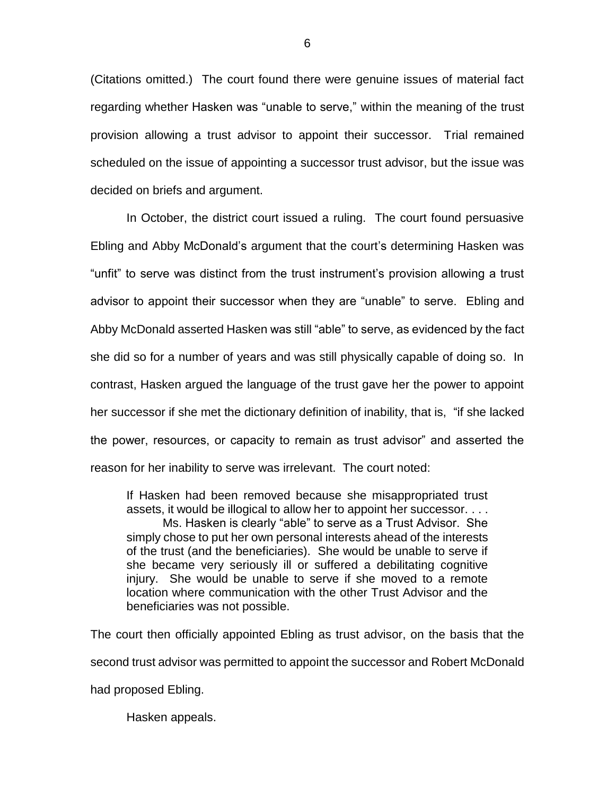(Citations omitted.) The court found there were genuine issues of material fact regarding whether Hasken was "unable to serve," within the meaning of the trust provision allowing a trust advisor to appoint their successor. Trial remained scheduled on the issue of appointing a successor trust advisor, but the issue was decided on briefs and argument.

In October, the district court issued a ruling. The court found persuasive Ebling and Abby McDonald's argument that the court's determining Hasken was "unfit" to serve was distinct from the trust instrument's provision allowing a trust advisor to appoint their successor when they are "unable" to serve. Ebling and Abby McDonald asserted Hasken was still "able" to serve, as evidenced by the fact she did so for a number of years and was still physically capable of doing so. In contrast, Hasken argued the language of the trust gave her the power to appoint her successor if she met the dictionary definition of inability, that is, "if she lacked the power, resources, or capacity to remain as trust advisor" and asserted the reason for her inability to serve was irrelevant. The court noted:

If Hasken had been removed because she misappropriated trust assets, it would be illogical to allow her to appoint her successor. . . .

Ms. Hasken is clearly "able" to serve as a Trust Advisor. She simply chose to put her own personal interests ahead of the interests of the trust (and the beneficiaries). She would be unable to serve if she became very seriously ill or suffered a debilitating cognitive injury. She would be unable to serve if she moved to a remote location where communication with the other Trust Advisor and the beneficiaries was not possible.

The court then officially appointed Ebling as trust advisor, on the basis that the second trust advisor was permitted to appoint the successor and Robert McDonald had proposed Ebling.

Hasken appeals.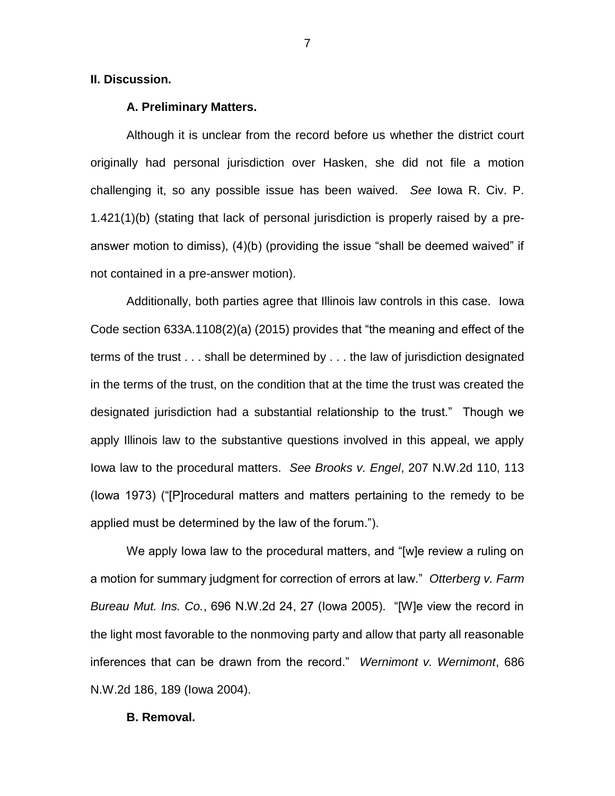### **II. Discussion.**

#### **A. Preliminary Matters.**

Although it is unclear from the record before us whether the district court originally had personal jurisdiction over Hasken, she did not file a motion challenging it, so any possible issue has been waived. *See* Iowa R. Civ. P. 1.421(1)(b) (stating that lack of personal jurisdiction is properly raised by a preanswer motion to dimiss), (4)(b) (providing the issue "shall be deemed waived" if not contained in a pre-answer motion).

Additionally, both parties agree that Illinois law controls in this case. Iowa Code section 633A.1108(2)(a) (2015) provides that "the meaning and effect of the terms of the trust . . . shall be determined by . . . the law of jurisdiction designated in the terms of the trust, on the condition that at the time the trust was created the designated jurisdiction had a substantial relationship to the trust." Though we apply Illinois law to the substantive questions involved in this appeal, we apply Iowa law to the procedural matters. *See Brooks v. Engel*, 207 N.W.2d 110, 113 (Iowa 1973) ("[P]rocedural matters and matters pertaining to the remedy to be applied must be determined by the law of the forum.").

We apply Iowa law to the procedural matters, and "[w]e review a ruling on a motion for summary judgment for correction of errors at law." *Otterberg v. Farm Bureau Mut. Ins. Co.*, 696 N.W.2d 24, 27 (Iowa 2005). "[W]e view the record in the light most favorable to the nonmoving party and allow that party all reasonable inferences that can be drawn from the record." *Wernimont v. Wernimont*, 686 N.W.2d 186, 189 (Iowa 2004).

#### **B. Removal.**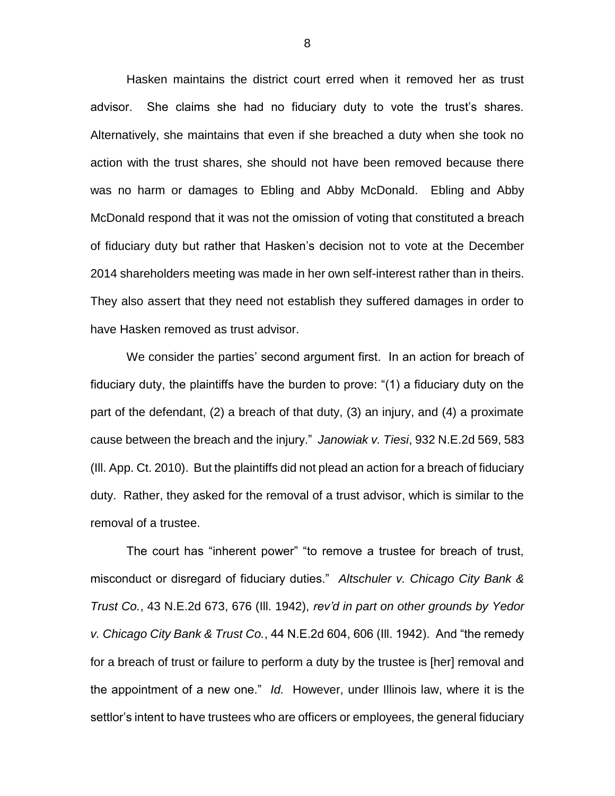Hasken maintains the district court erred when it removed her as trust advisor. She claims she had no fiduciary duty to vote the trust's shares. Alternatively, she maintains that even if she breached a duty when she took no action with the trust shares, she should not have been removed because there was no harm or damages to Ebling and Abby McDonald. Ebling and Abby McDonald respond that it was not the omission of voting that constituted a breach of fiduciary duty but rather that Hasken's decision not to vote at the December 2014 shareholders meeting was made in her own self-interest rather than in theirs. They also assert that they need not establish they suffered damages in order to have Hasken removed as trust advisor.

We consider the parties' second argument first. In an action for breach of fiduciary duty, the plaintiffs have the burden to prove: "(1) a fiduciary duty on the part of the defendant, (2) a breach of that duty, (3) an injury, and (4) a proximate cause between the breach and the injury." *Janowiak v. Tiesi*, 932 N.E.2d 569, 583 (Ill. App. Ct. 2010). But the plaintiffs did not plead an action for a breach of fiduciary duty. Rather, they asked for the removal of a trust advisor, which is similar to the removal of a trustee.

The court has "inherent power" "to remove a trustee for breach of trust, misconduct or disregard of fiduciary duties." *Altschuler v. Chicago City Bank & Trust Co.*, 43 N.E.2d 673, 676 (Ill. 1942), *rev'd in part on other grounds by Yedor v. Chicago City Bank & Trust Co.*, 44 N.E.2d 604, 606 (Ill. 1942). And "the remedy for a breach of trust or failure to perform a duty by the trustee is [her] removal and the appointment of a new one." *Id.* However, under Illinois law, where it is the settlor's intent to have trustees who are officers or employees, the general fiduciary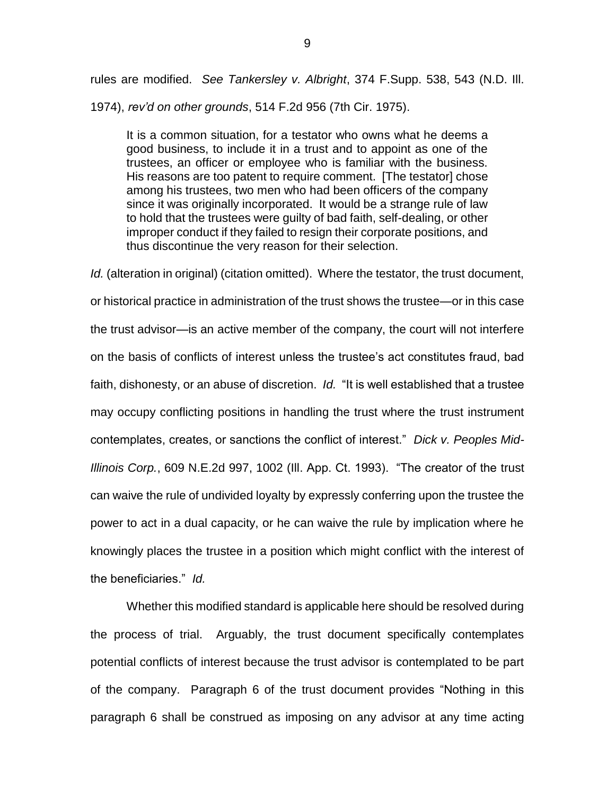rules are modified. *See Tankersley v. Albright*, 374 F.Supp. 538, 543 (N.D. Ill. 1974), *rev'd on other grounds*, 514 F.2d 956 (7th Cir. 1975).

It is a common situation, for a testator who owns what he deems a good business, to include it in a trust and to appoint as one of the trustees, an officer or employee who is familiar with the business. His reasons are too patent to require comment. [The testator] chose among his trustees, two men who had been officers of the company since it was originally incorporated. It would be a strange rule of law to hold that the trustees were guilty of bad faith, self-dealing, or other improper conduct if they failed to resign their corporate positions, and thus discontinue the very reason for their selection.

*Id.* (alteration in original) (citation omitted). Where the testator, the trust document, or historical practice in administration of the trust shows the trustee—or in this case the trust advisor—is an active member of the company, the court will not interfere on the basis of conflicts of interest unless the trustee's act constitutes fraud, bad faith, dishonesty, or an abuse of discretion. *Id.* "It is well established that a trustee may occupy conflicting positions in handling the trust where the trust instrument contemplates, creates, or sanctions the conflict of interest." *Dick v. Peoples Mid-Illinois Corp.*, 609 N.E.2d 997, 1002 (Ill. App. Ct. 1993). "The creator of the trust can waive the rule of undivided loyalty by expressly conferring upon the trustee the power to act in a dual capacity, or he can waive the rule by implication where he knowingly places the trustee in a position which might conflict with the interest of the beneficiaries." *Id.* 

Whether this modified standard is applicable here should be resolved during the process of trial. Arguably, the trust document specifically contemplates potential conflicts of interest because the trust advisor is contemplated to be part of the company. Paragraph 6 of the trust document provides "Nothing in this paragraph 6 shall be construed as imposing on any advisor at any time acting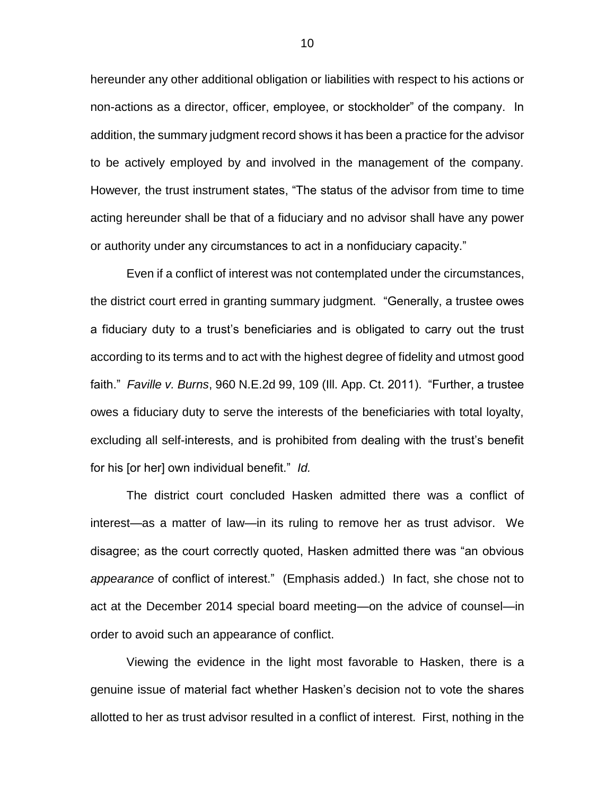hereunder any other additional obligation or liabilities with respect to his actions or non-actions as a director, officer, employee, or stockholder" of the company. In addition, the summary judgment record shows it has been a practice for the advisor to be actively employed by and involved in the management of the company. However*,* the trust instrument states, "The status of the advisor from time to time acting hereunder shall be that of a fiduciary and no advisor shall have any power or authority under any circumstances to act in a nonfiduciary capacity."

Even if a conflict of interest was not contemplated under the circumstances, the district court erred in granting summary judgment. "Generally, a trustee owes a fiduciary duty to a trust's beneficiaries and is obligated to carry out the trust according to its terms and to act with the highest degree of fidelity and utmost good faith." *Faville v. Burns*, 960 N.E.2d 99, 109 (Ill. App. Ct. 2011). "Further, a trustee owes a fiduciary duty to serve the interests of the beneficiaries with total loyalty, excluding all self-interests, and is prohibited from dealing with the trust's benefit for his [or her] own individual benefit." *Id.* 

The district court concluded Hasken admitted there was a conflict of interest—as a matter of law—in its ruling to remove her as trust advisor. We disagree; as the court correctly quoted, Hasken admitted there was "an obvious *appearance* of conflict of interest." (Emphasis added.) In fact, she chose not to act at the December 2014 special board meeting—on the advice of counsel—in order to avoid such an appearance of conflict.

Viewing the evidence in the light most favorable to Hasken, there is a genuine issue of material fact whether Hasken's decision not to vote the shares allotted to her as trust advisor resulted in a conflict of interest. First, nothing in the

10